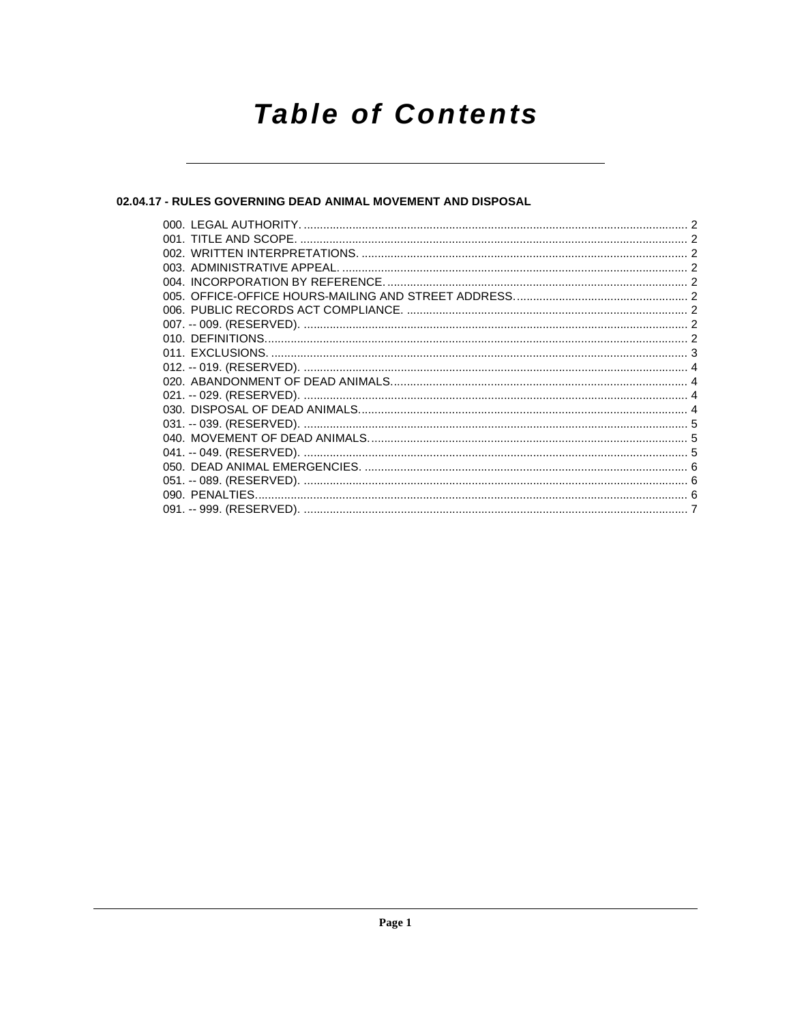# **Table of Contents**

# 02.04.17 - RULES GOVERNING DEAD ANIMAL MOVEMENT AND DISPOSAL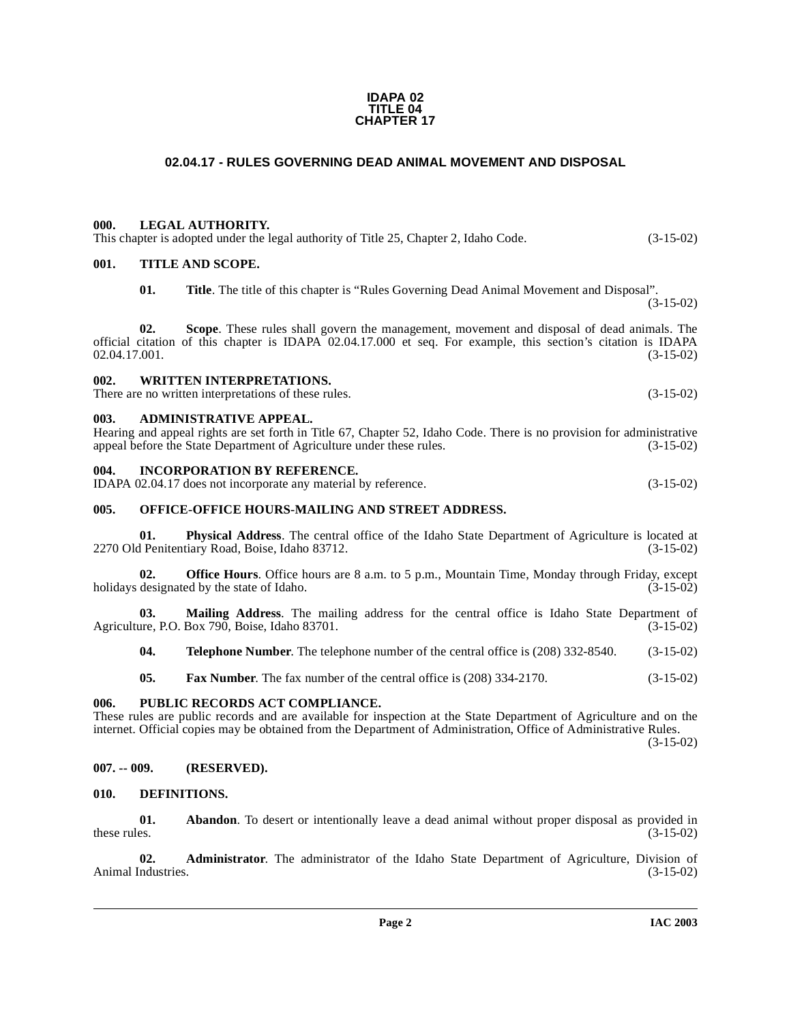#### **IDAPA 02 TITLE 04 CHAPTER 17**

# **02.04.17 - RULES GOVERNING DEAD ANIMAL MOVEMENT AND DISPOSAL**

# <span id="page-1-1"></span><span id="page-1-0"></span>**000. LEGAL AUTHORITY.**

This chapter is adopted under the legal authority of Title 25, Chapter 2, Idaho Code. (3-15-02)

# <span id="page-1-2"></span>**001. TITLE AND SCOPE.**

**01. Title**. The title of this chapter is "Rules Governing Dead Animal Movement and Disposal". (3-15-02)

**02. Scope**. These rules shall govern the management, movement and disposal of dead animals. The official citation of this chapter is IDAPA 02.04.17.000 et seq. For example, this section's citation is IDAPA  $02.04.17.001.$  (3-15-02)

# <span id="page-1-3"></span>**002. WRITTEN INTERPRETATIONS.**

There are no written interpretations of these rules. (3-15-02)

### <span id="page-1-4"></span>**003. ADMINISTRATIVE APPEAL.**

Hearing and appeal rights are set forth in Title 67, Chapter 52, Idaho Code. There is no provision for administrative appeal before the State Department of Agriculture under these rules. (3-15-02) appeal before the State Department of Agriculture under these rules.

# <span id="page-1-5"></span>**004. INCORPORATION BY REFERENCE.**

| IDAPA 02.04.17 does not incorporate any material by reference. | $(3-15-02)$ |
|----------------------------------------------------------------|-------------|
|----------------------------------------------------------------|-------------|

# <span id="page-1-6"></span>**005. OFFICE-OFFICE HOURS-MAILING AND STREET ADDRESS.**

**01. Physical Address**. The central office of the Idaho State Department of Agriculture is located at Penitentiary Road, Boise, Idaho 83712. 2270 Old Penitentiary Road, Boise, Idaho 83712.

**02. Office Hours**. Office hours are 8 a.m. to 5 p.m., Mountain Time, Monday through Friday, except designated by the state of Idaho. (3-15-02) holidays designated by the state of Idaho.

**03. Mailing Address**. The mailing address for the central office is Idaho State Department of Agriculture, P.O. Box 790, Boise, Idaho 83701. (3-15-02)

**04. Telephone Number**. The telephone number of the central office is (208) 332-8540. (3-15-02)

**05. Fax Number**. The fax number of the central office is (208) 334-2170. (3-15-02)

# <span id="page-1-7"></span>**006. PUBLIC RECORDS ACT COMPLIANCE.**

These rules are public records and are available for inspection at the State Department of Agriculture and on the internet. Official copies may be obtained from the Department of Administration, Office of Administrative Rules.

(3-15-02)

### <span id="page-1-8"></span>**007. -- 009. (RESERVED).**

### <span id="page-1-10"></span><span id="page-1-9"></span>**010. DEFINITIONS.**

**01. Abandon**. To desert or intentionally leave a dead animal without proper disposal as provided in these rules. (3-15-02) these rules.  $(3-15-02)$ 

**02. Administrator**. The administrator of the Idaho State Department of Agriculture, Division of industries. (3-15-02) Animal Industries.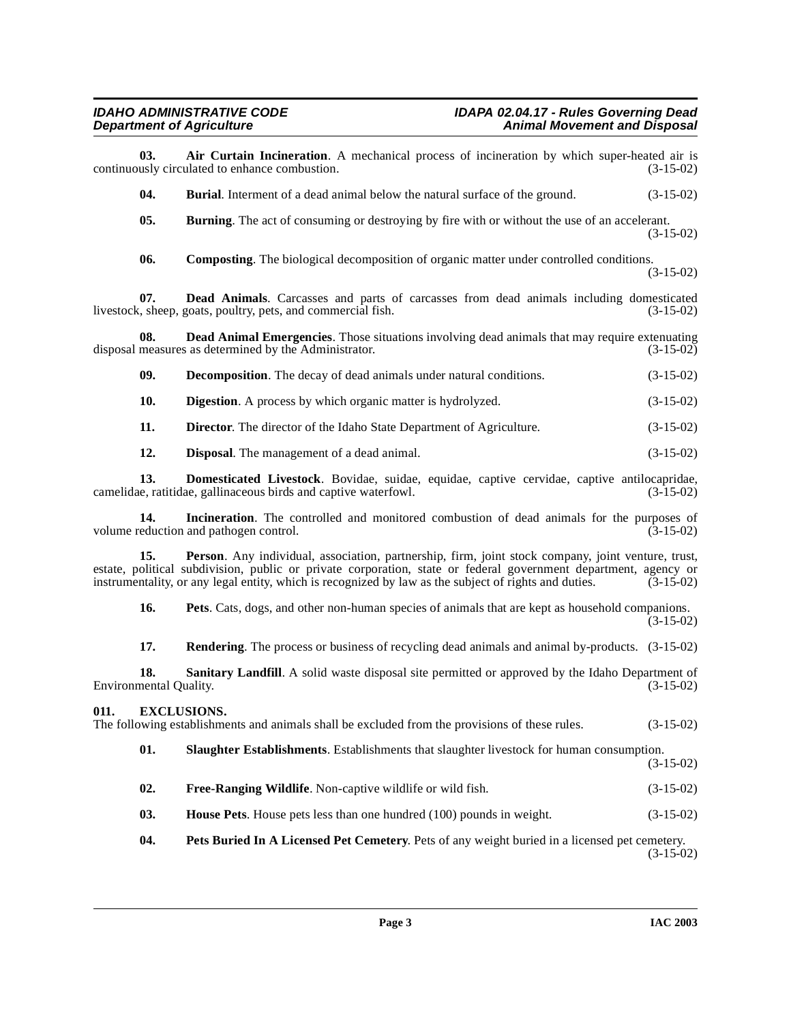<span id="page-2-9"></span><span id="page-2-8"></span><span id="page-2-7"></span><span id="page-2-6"></span><span id="page-2-5"></span><span id="page-2-4"></span><span id="page-2-3"></span><span id="page-2-2"></span><span id="page-2-1"></span><span id="page-2-0"></span>

| 03.                           | Air Curtain Incineration. A mechanical process of incineration by which super-heated air is<br>continuously circulated to enhance combustion.                                                                                                                                                                                  | $(3-15-02)$ |
|-------------------------------|--------------------------------------------------------------------------------------------------------------------------------------------------------------------------------------------------------------------------------------------------------------------------------------------------------------------------------|-------------|
| 04.                           | <b>Burial.</b> Interment of a dead animal below the natural surface of the ground.                                                                                                                                                                                                                                             | $(3-15-02)$ |
| 05.                           | <b>Burning</b> . The act of consuming or destroying by fire with or without the use of an accelerant.                                                                                                                                                                                                                          | $(3-15-02)$ |
| 06.                           | <b>Composting.</b> The biological decomposition of organic matter under controlled conditions.                                                                                                                                                                                                                                 | $(3-15-02)$ |
| 07.                           | Dead Animals. Carcasses and parts of carcasses from dead animals including domesticated<br>livestock, sheep, goats, poultry, pets, and commercial fish.                                                                                                                                                                        | $(3-15-02)$ |
| 08.                           | Dead Animal Emergencies. Those situations involving dead animals that may require extenuating<br>disposal measures as determined by the Administrator.                                                                                                                                                                         | $(3-15-02)$ |
| 09.                           | <b>Decomposition.</b> The decay of dead animals under natural conditions.                                                                                                                                                                                                                                                      | $(3-15-02)$ |
| 10.                           | <b>Digestion</b> . A process by which organic matter is hydrolyzed.                                                                                                                                                                                                                                                            | $(3-15-02)$ |
| 11.                           | Director. The director of the Idaho State Department of Agriculture.                                                                                                                                                                                                                                                           | $(3-15-02)$ |
| 12.                           | <b>Disposal.</b> The management of a dead animal.                                                                                                                                                                                                                                                                              | $(3-15-02)$ |
| 13.                           | Domesticated Livestock. Bovidae, suidae, equidae, captive cervidae, captive antilocapridae,<br>camelidae, ratitidae, gallinaceous birds and captive waterfowl.                                                                                                                                                                 | $(3-15-02)$ |
| 14.                           | Incineration. The controlled and monitored combustion of dead animals for the purposes of<br>volume reduction and pathogen control.                                                                                                                                                                                            | $(3-15-02)$ |
| 15.                           | Person. Any individual, association, partnership, firm, joint stock company, joint venture, trust,<br>estate, political subdivision, public or private corporation, state or federal government department, agency or<br>instrumentality, or any legal entity, which is recognized by law as the subject of rights and duties. | $(3-15-02)$ |
| 16.                           | Pets. Cats, dogs, and other non-human species of animals that are kept as household companions.                                                                                                                                                                                                                                | $(3-15-02)$ |
| 17.                           | <b>Rendering.</b> The process or business of recycling dead animals and animal by-products. (3-15-02)                                                                                                                                                                                                                          |             |
| 18.<br>Environmental Quality. | Sanitary Landfill. A solid waste disposal site permitted or approved by the Idaho Department of                                                                                                                                                                                                                                | $(3-15-02)$ |
| 011.                          | <b>EXCLUSIONS.</b><br>The following establishments and animals shall be excluded from the provisions of these rules.                                                                                                                                                                                                           | $(3-15-02)$ |
| 01.                           | Slaughter Establishments. Establishments that slaughter livestock for human consumption.                                                                                                                                                                                                                                       | $(3-15-02)$ |
| 02.                           | Free-Ranging Wildlife. Non-captive wildlife or wild fish.                                                                                                                                                                                                                                                                      | $(3-15-02)$ |
| 03.                           | <b>House Pets.</b> House pets less than one hundred (100) pounds in weight.                                                                                                                                                                                                                                                    | $(3-15-02)$ |
| 04.                           | Pets Buried In A Licensed Pet Cemetery. Pets of any weight buried in a licensed pet cemetery.                                                                                                                                                                                                                                  | $(3-15-02)$ |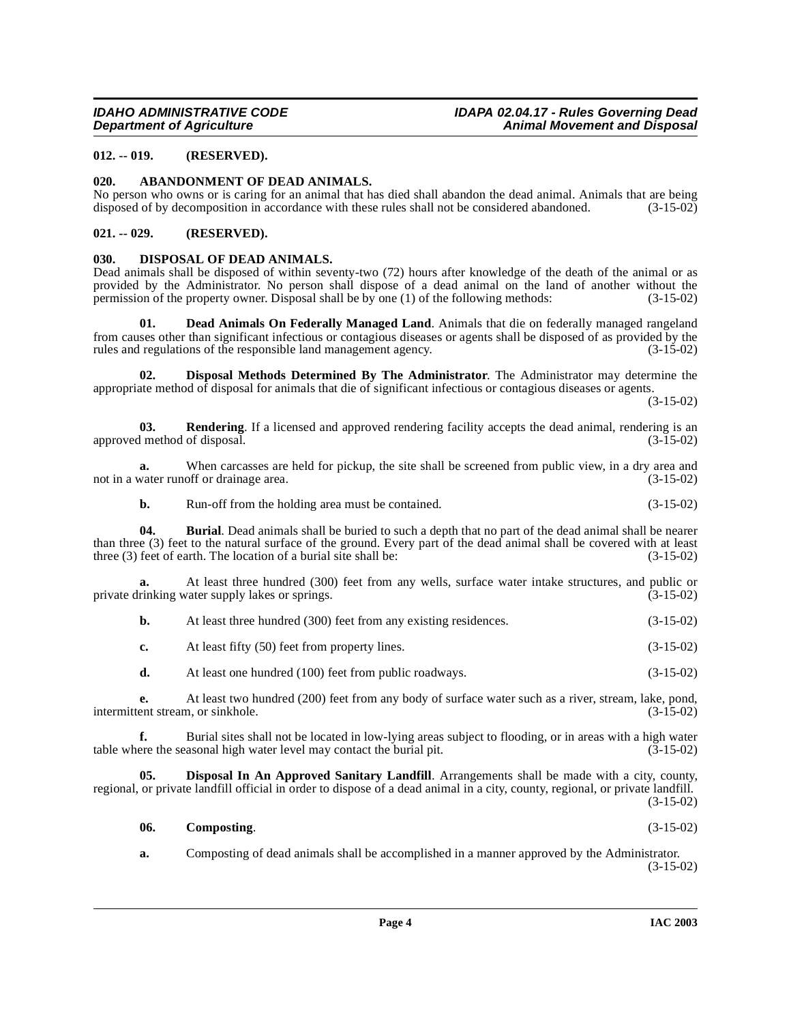# <span id="page-3-0"></span>**012. -- 019. (RESERVED).**

# <span id="page-3-4"></span><span id="page-3-1"></span>**020. ABANDONMENT OF DEAD ANIMALS.**

No person who owns or is caring for an animal that has died shall abandon the dead animal. Animals that are being disposed of by decomposition in accordance with these rules shall not be considered abandoned. (3-15-02) disposed of by decomposition in accordance with these rules shall not be considered abandoned.

# <span id="page-3-2"></span>**021. -- 029. (RESERVED).**

# <span id="page-3-10"></span><span id="page-3-3"></span>**030. DISPOSAL OF DEAD ANIMALS.**

Dead animals shall be disposed of within seventy-two (72) hours after knowledge of the death of the animal or as provided by the Administrator. No person shall dispose of a dead animal on the land of another without the permission of the property owner. Disposal shall be by one (1) of the following methods: (3-15-02) permission of the property owner. Disposal shall be by one  $(1)$  of the following methods:

<span id="page-3-7"></span>**Dead Animals On Federally Managed Land.** Animals that die on federally managed rangeland from causes other than significant infectious or contagious diseases or agents shall be disposed of as provided by the rules and regulations of the responsible land management agency. (3-15-02)

<span id="page-3-9"></span>**02. Disposal Methods Determined By The Administrator**. The Administrator may determine the appropriate method of disposal for animals that die of significant infectious or contagious diseases or agents.

(3-15-02)

<span id="page-3-11"></span>**03. Rendering**. If a licensed and approved rendering facility accepts the dead animal, rendering is an imethod of disposal. (3-15-02) approved method of disposal.

**a.** When carcasses are held for pickup, the site shall be screened from public view, in a dry area and water runoff or drainage area. (3-15-02) not in a water runoff or drainage area.

<span id="page-3-5"></span>**b.** Run-off from the holding area must be contained. (3-15-02)

**04. Burial**. Dead animals shall be buried to such a depth that no part of the dead animal shall be nearer than three (3) feet to the natural surface of the ground. Every part of the dead animal shall be covered with at least three (3) feet of earth. The location of a burial site shall be:  $(3-15-02)$ three  $(3)$  feet of earth. The location of a burial site shall be:

**a.** At least three hundred (300) feet from any wells, surface water intake structures, and public or rinking water supply lakes or springs. (3-15-02) private drinking water supply lakes or springs.

|  | At least three hundred (300) feet from any existing residences. | $(3-15-02)$ |
|--|-----------------------------------------------------------------|-------------|
|--|-----------------------------------------------------------------|-------------|

**c.** At least fifty (50) feet from property lines. (3-15-02)

**d.** At least one hundred (100) feet from public roadways. (3-15-02)

**e.** At least two hundred (200) feet from any body of surface water such as a river, stream, lake, pond, intermittent stream, or sinkhole. (3-15-02)

**f.** Burial sites shall not be located in low-lying areas subject to flooding, or in areas with a high water level may contact the burial pit. (3-15-02) table where the seasonal high water level may contact the burial pit.

**05. Disposal In An Approved Sanitary Landfill**. Arrangements shall be made with a city, county, regional, or private landfill official in order to dispose of a dead animal in a city, county, regional, or private landfill. (3-15-02)

<span id="page-3-8"></span><span id="page-3-6"></span>**06. Composting**. (3-15-02)

**a.** Composting of dead animals shall be accomplished in a manner approved by the Administrator. (3-15-02)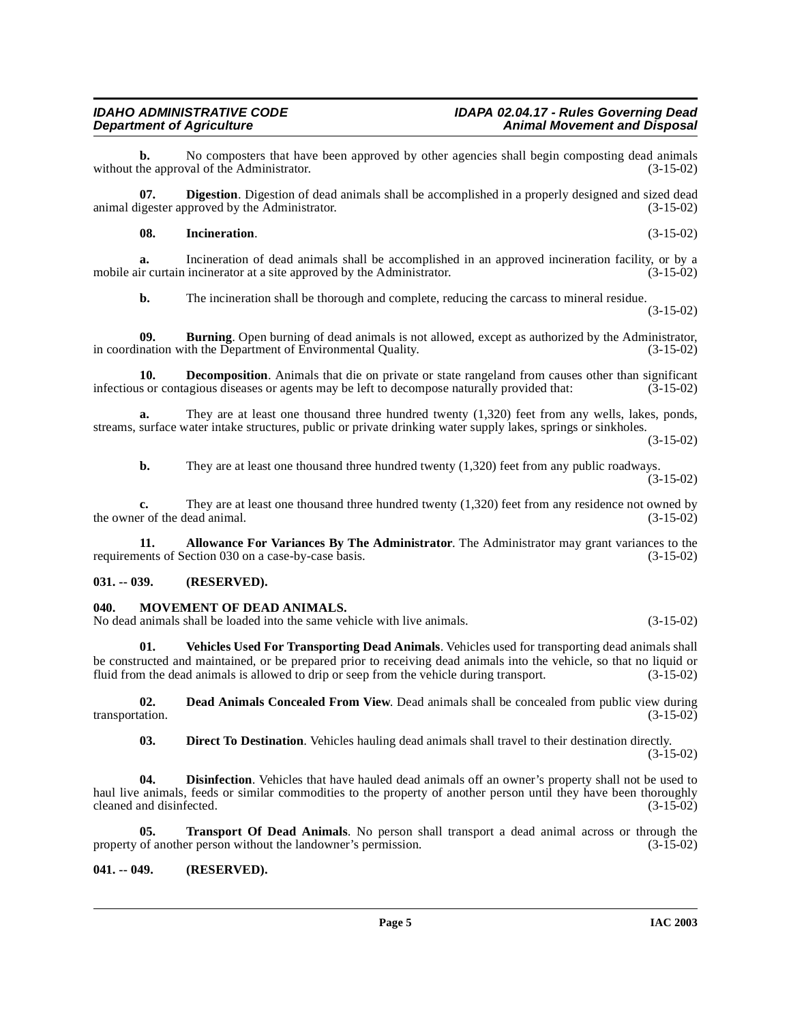**b.** No composters that have been approved by other agencies shall begin composting dead animals he approval of the Administrator. (3-15-02) without the approval of the Administrator.

**07. Digestion**. Digestion of dead animals shall be accomplished in a properly designed and sized dead igester approved by the Administrator. (3-15-02) animal digester approved by the Administrator.

# <span id="page-4-7"></span>**08. Incineration**. (3-15-02)

**a.** Incineration of dead animals shall be accomplished in an approved incineration facility, or by a mobile air curtain incinerator at a site approved by the Administrator. (3-15-02)

<span id="page-4-5"></span><span id="page-4-3"></span>**b.** The incineration shall be thorough and complete, reducing the carcass to mineral residue. (3-15-02)

**09. Burning**. Open burning of dead animals is not allowed, except as authorized by the Administrator, nation with the Department of Environmental Quality. (3-15-02) in coordination with the Department of Environmental Quality.

**10. Decomposition**. Animals that die on private or state rangeland from causes other than significant infectious or contagious diseases or agents may be left to decompose naturally provided that: (3-15-02)

**a.** They are at least one thousand three hundred twenty (1,320) feet from any wells, lakes, ponds, streams, surface water intake structures, public or private drinking water supply lakes, springs or sinkholes.

(3-15-02)

**b.** They are at least one thousand three hundred twenty (1,320) feet from any public roadways. (3-15-02)

**c.** They are at least one thousand three hundred twenty (1,320) feet from any residence not owned by er of the dead animal. (3-15-02) the owner of the dead animal.

**11. Allowance For Variances By The Administrator**. The Administrator may grant variances to the ents of Section 030 on a case-by-case basis. (3-15-02) requirements of Section 030 on a case-by-case basis.

# <span id="page-4-0"></span>**031. -- 039. (RESERVED).**

# <span id="page-4-8"></span><span id="page-4-1"></span>**040. MOVEMENT OF DEAD ANIMALS.**

No dead animals shall be loaded into the same vehicle with live animals. (3-15-02)

<span id="page-4-10"></span>**01. Vehicles Used For Transporting Dead Animals**. Vehicles used for transporting dead animals shall be constructed and maintained, or be prepared prior to receiving dead animals into the vehicle, so that no liquid or fluid from the dead animals is allowed to drip or seep from the vehicle during transport. (3-15-02)

**02. Dead Animals Concealed From View**. Dead animals shall be concealed from public view during ation. (3-15-02) transportation.

<span id="page-4-9"></span><span id="page-4-6"></span><span id="page-4-4"></span>**03. Direct To Destination**. Vehicles hauling dead animals shall travel to their destination directly.

 $(3-15-02)$ 

**04. Disinfection**. Vehicles that have hauled dead animals off an owner's property shall not be used to haul live animals, feeds or similar commodities to the property of another person until they have been thoroughly cleaned and disinfected. (3-15-02) cleaned and disinfected.

**05. Transport Of Dead Animals**. No person shall transport a dead animal across or through the of another person without the landowner's permission. (3-15-02) property of another person without the landowner's permission.

# <span id="page-4-2"></span>**041. -- 049. (RESERVED).**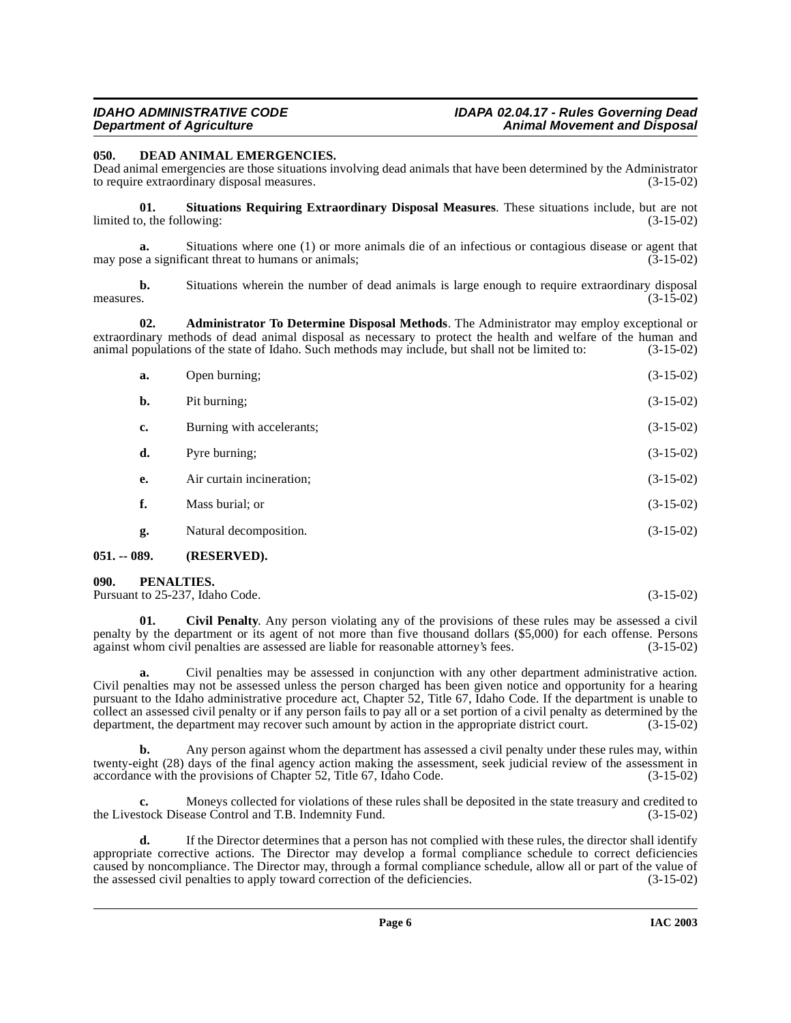<span id="page-5-4"></span><span id="page-5-0"></span>**050. DEAD ANIMAL EMERGENCIES.** 

Dead animal emergencies are those situations involving dead animals that have been determined by the Administrator to require extraordinary disposal measures. (3-15-02)

<span id="page-5-6"></span>**01. Situations Requiring Extraordinary Disposal Measures**. These situations include, but are not limited to, the following: (3-15-02) (3-15-02)

**a.** Situations where one (1) or more animals die of an infectious or contagious disease or agent that e a significant threat to humans or animals: (3-15-02) may pose a significant threat to humans or animals;

**b.** Situations wherein the number of dead animals is large enough to require extraordinary disposal s. measures.  $(3-15-02)$ 

**02. Administrator To Determine Disposal Methods**. The Administrator may employ exceptional or extraordinary methods of dead animal disposal as necessary to protect the health and welfare of the human and animal populations of the state of Idaho. Such methods may include, but shall not be limited to: (3-15-02)

| a. | Open burning;             | $(3-15-02)$ |
|----|---------------------------|-------------|
| b. | Pit burning;              | $(3-15-02)$ |
| c. | Burning with accelerants; | $(3-15-02)$ |
| d. | Pyre burning;             | $(3-15-02)$ |
| e. | Air curtain incineration; | $(3-15-02)$ |
| f. | Mass burial; or           | $(3-15-02)$ |
| g. | Natural decomposition.    | $(3-15-02)$ |

### <span id="page-5-1"></span>**051. -- 089. (RESERVED).**

<span id="page-5-5"></span><span id="page-5-2"></span>**090. PENALTIES.** 

Pursuant to 25-237, Idaho Code. (3-15-02)

<span id="page-5-3"></span>**01. Civil Penalty**. Any person violating any of the provisions of these rules may be assessed a civil penalty by the department or its agent of not more than five thousand dollars (\$5,000) for each offense. Persons against whom civil penalties are assessed are liable for reasonable attorney's fees. (3-15-02) against whom civil penalties are assessed are liable for reasonable attorney's fees.

**a.** Civil penalties may be assessed in conjunction with any other department administrative action. Civil penalties may not be assessed unless the person charged has been given notice and opportunity for a hearing pursuant to the Idaho administrative procedure act, Chapter 52, Title 67, Idaho Code. If the department is unable to collect an assessed civil penalty or if any person fails to pay all or a set portion of a civil penalty as determined by the department, the department may recover such amount by action in the appropriate district court. ( department, the department may recover such amount by action in the appropriate district court.

**b.** Any person against whom the department has assessed a civil penalty under these rules may, within twenty-eight (28) days of the final agency action making the assessment, seek judicial review of the assessment in accordance with the provisions of Chapter 52, Title 67, Idaho Code. (3-15-02)

**c.** Moneys collected for violations of these rules shall be deposited in the state treasury and credited to the Livestock Disease Control and T.B. Indemnity Fund. (3-15-02)

**d.** If the Director determines that a person has not complied with these rules, the director shall identify appropriate corrective actions. The Director may develop a formal compliance schedule to correct deficiencies caused by noncompliance. The Director may, through a formal compliance schedule, allow all or part of the value of the assessed civil penalties to apply toward correction of the deficiencies. (3-15-02) the assessed civil penalties to apply toward correction of the deficiencies.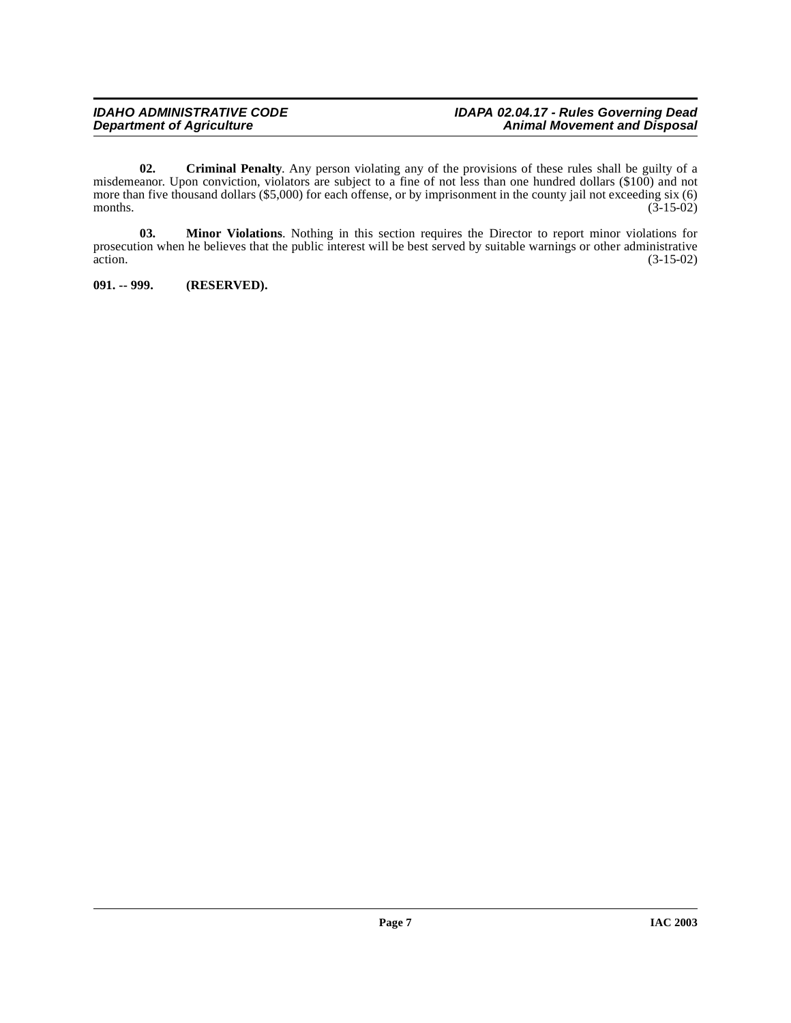<span id="page-6-1"></span>**02. Criminal Penalty**. Any person violating any of the provisions of these rules shall be guilty of a misdemeanor. Upon conviction, violators are subject to a fine of not less than one hundred dollars (\$100) and not more than five thousand dollars (\$5,000) for each offense, or by imprisonment in the county jail not exceeding six (6) months. (3-15-02) months.  $(3-15-02)$ 

**03. Minor Violations**. Nothing in this section requires the Director to report minor violations for prosecution when he believes that the public interest will be best served by suitable warnings or other administrative action. (3-15-02) action. (3-15-02)

<span id="page-6-0"></span>**091. -- 999. (RESERVED).**